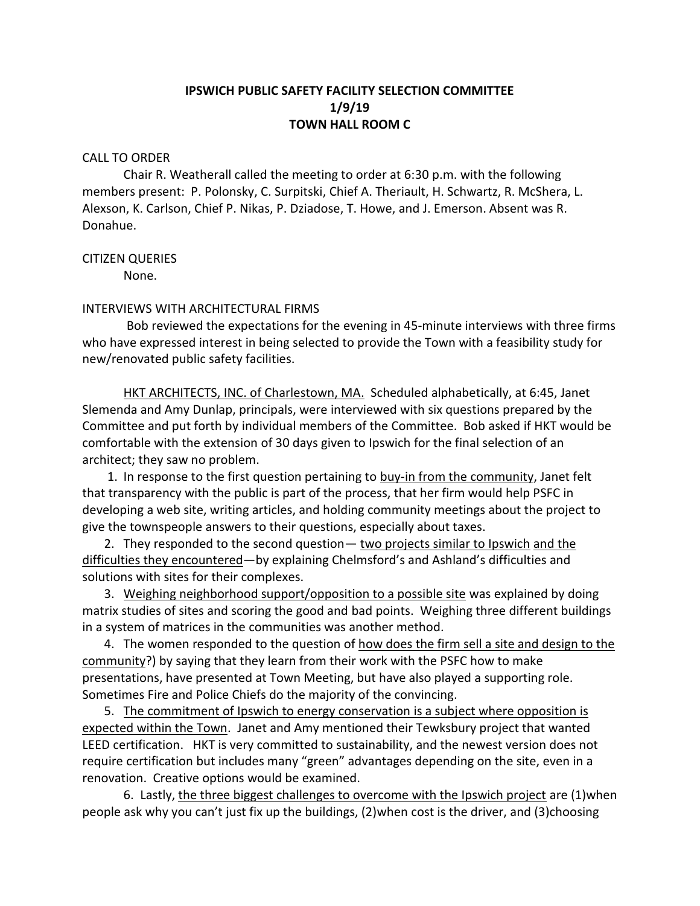# **IPSWICH PUBLIC SAFETY FACILITY SELECTION COMMITTEE 1/9/19 TOWN HALL ROOM C**

#### CALL TO ORDER

Chair R. Weatherall called the meeting to order at 6:30 p.m. with the following members present: P. Polonsky, C. Surpitski, Chief A. Theriault, H. Schwartz, R. McShera, L. Alexson, K. Carlson, Chief P. Nikas, P. Dziadose, T. Howe, and J. Emerson. Absent was R. Donahue.

### CITIZEN QUERIES

None.

## INTERVIEWS WITH ARCHITECTURAL FIRMS

Bob reviewed the expectations for the evening in 45-minute interviews with three firms who have expressed interest in being selected to provide the Town with a feasibility study for new/renovated public safety facilities.

HKT ARCHITECTS, INC. of Charlestown, MA. Scheduled alphabetically, at 6:45, Janet Slemenda and Amy Dunlap, principals, were interviewed with six questions prepared by the Committee and put forth by individual members of the Committee. Bob asked if HKT would be comfortable with the extension of 30 days given to Ipswich for the final selection of an architect; they saw no problem.

1. In response to the first question pertaining to buy-in from the community, Janet felt that transparency with the public is part of the process, that her firm would help PSFC in developing a web site, writing articles, and holding community meetings about the project to give the townspeople answers to their questions, especially about taxes.

2. They responded to the second question - two projects similar to Ipswich and the difficulties they encountered—by explaining Chelmsford's and Ashland's difficulties and solutions with sites for their complexes.

 3. Weighing neighborhood support/opposition to a possible site was explained by doing matrix studies of sites and scoring the good and bad points. Weighing three different buildings in a system of matrices in the communities was another method.

 4. The women responded to the question of how does the firm sell a site and design to the community?) by saying that they learn from their work with the PSFC how to make presentations, have presented at Town Meeting, but have also played a supporting role. Sometimes Fire and Police Chiefs do the majority of the convincing.

5. The commitment of Ipswich to energy conservation is a subject where opposition is expected within the Town. Janet and Amy mentioned their Tewksbury project that wanted LEED certification. HKT is very committed to sustainability, and the newest version does not require certification but includes many "green" advantages depending on the site, even in a renovation. Creative options would be examined.

6. Lastly, the three biggest challenges to overcome with the Ipswich project are (1)when people ask why you can't just fix up the buildings, (2)when cost is the driver, and (3)choosing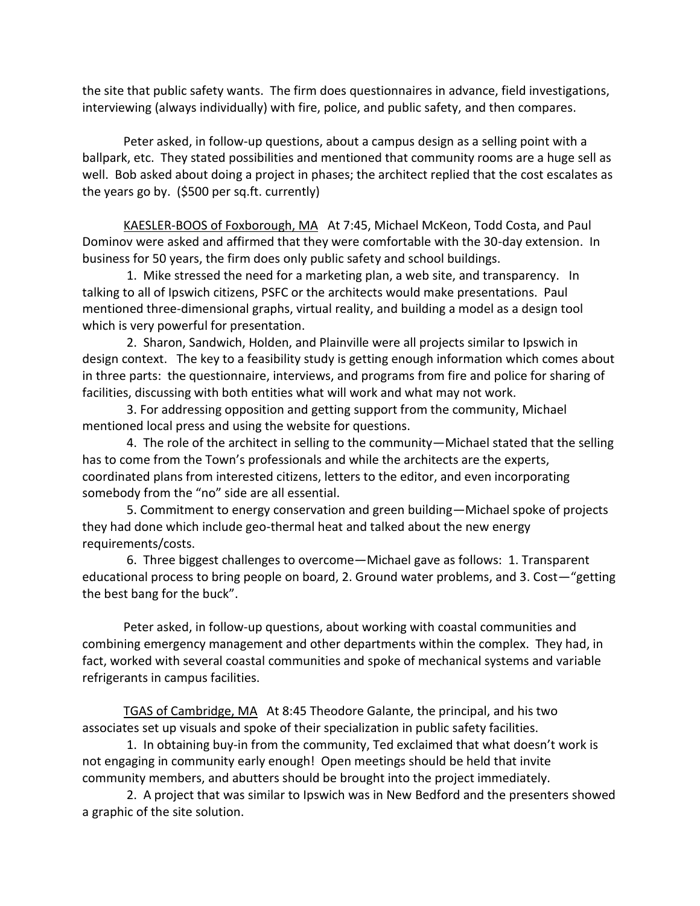the site that public safety wants. The firm does questionnaires in advance, field investigations, interviewing (always individually) with fire, police, and public safety, and then compares.

Peter asked, in follow-up questions, about a campus design as a selling point with a ballpark, etc. They stated possibilities and mentioned that community rooms are a huge sell as well. Bob asked about doing a project in phases; the architect replied that the cost escalates as the years go by. (\$500 per sq.ft. currently)

KAESLER-BOOS of Foxborough, MA At 7:45, Michael McKeon, Todd Costa, and Paul Dominov were asked and affirmed that they were comfortable with the 30-day extension. In business for 50 years, the firm does only public safety and school buildings.

1. Mike stressed the need for a marketing plan, a web site, and transparency. In talking to all of Ipswich citizens, PSFC or the architects would make presentations. Paul mentioned three-dimensional graphs, virtual reality, and building a model as a design tool which is very powerful for presentation.

2. Sharon, Sandwich, Holden, and Plainville were all projects similar to Ipswich in design context. The key to a feasibility study is getting enough information which comes about in three parts: the questionnaire, interviews, and programs from fire and police for sharing of facilities, discussing with both entities what will work and what may not work.

3. For addressing opposition and getting support from the community, Michael mentioned local press and using the website for questions.

4. The role of the architect in selling to the community—Michael stated that the selling has to come from the Town's professionals and while the architects are the experts, coordinated plans from interested citizens, letters to the editor, and even incorporating somebody from the "no" side are all essential.

5. Commitment to energy conservation and green building—Michael spoke of projects they had done which include geo-thermal heat and talked about the new energy requirements/costs.

6. Three biggest challenges to overcome—Michael gave as follows: 1. Transparent educational process to bring people on board, 2. Ground water problems, and 3. Cost—"getting the best bang for the buck".

Peter asked, in follow-up questions, about working with coastal communities and combining emergency management and other departments within the complex. They had, in fact, worked with several coastal communities and spoke of mechanical systems and variable refrigerants in campus facilities.

TGAS of Cambridge, MA At 8:45 Theodore Galante, the principal, and his two associates set up visuals and spoke of their specialization in public safety facilities.

1. In obtaining buy-in from the community, Ted exclaimed that what doesn't work is not engaging in community early enough! Open meetings should be held that invite community members, and abutters should be brought into the project immediately.

2. A project that was similar to Ipswich was in New Bedford and the presenters showed a graphic of the site solution.